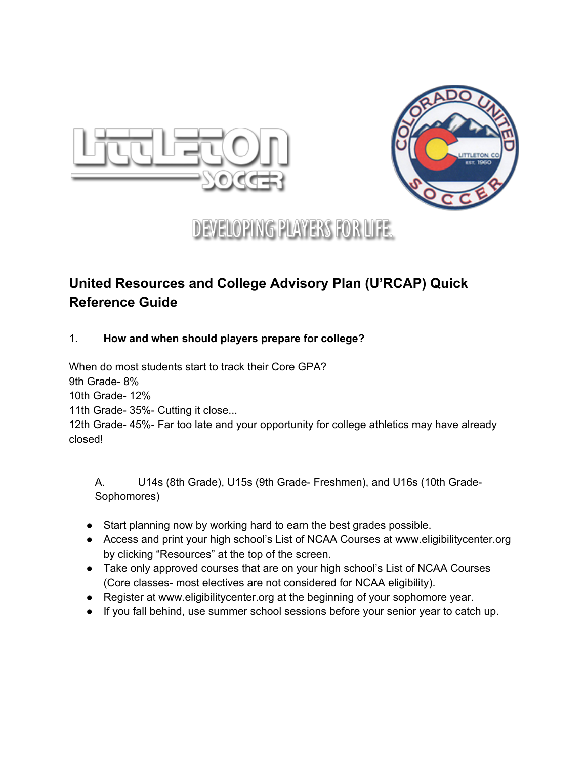



# **DEVELOPING PLAYERS FOR LIFE.**

# **United Resources and College Advisory Plan (U'RCAP) Quick Reference Guide**

# 1. **How and when should players prepare for college?**

When do most students start to track their Core GPA?

9th Grade-8%

10th Grade- 12%

11th Grade- 35%- Cutting it close...

12th Grade- 45%- Far too late and your opportunity for college athletics may have already closed!

A. U14s (8th Grade), U15s (9th Grade Freshmen), and U16s (10th Grade-Sophomores)

- Start planning now by working hard to earn the best grades possible.
- Access and print your high school's List of NCAA Courses at www.eligibilitycenter.org by clicking "Resources" at the top of the screen.
- Take only approved courses that are on your high school's List of NCAA Courses (Core classes- most electives are not considered for NCAA eligibility).
- Register at www.eligibilitycenter.org at the beginning of your sophomore year.
- If you fall behind, use summer school sessions before your senior year to catch up.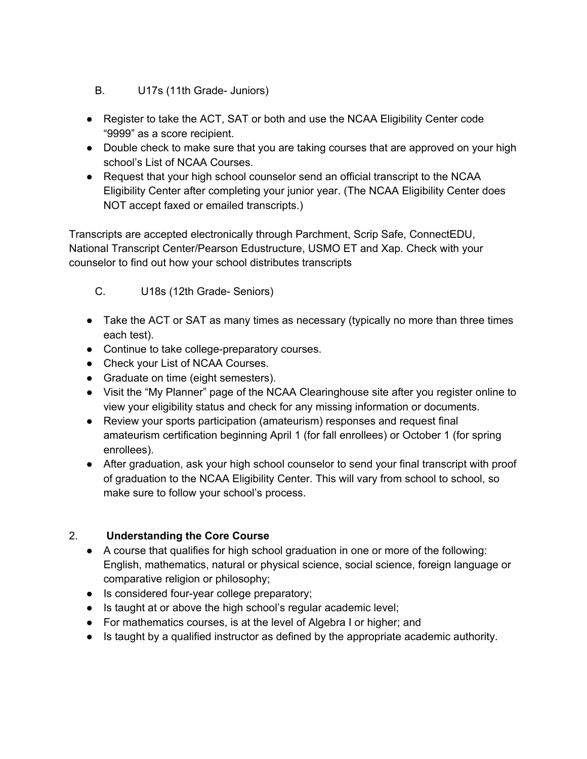- B. U17s (11th Grade Juniors)
- Register to take the ACT, SAT or both and use the NCAA Eligibility Center code "9999" as a score recipient.
- Double check to make sure that you are taking courses that are approved on your high school's List of NCAA Courses.
- Request that your high school counselor send an official transcript to the NCAA Eligibility Center after completing your junior year. (The NCAA Eligibility Center does NOT accept faxed or emailed transcripts.)

Transcripts are accepted electronically through Parchment, Scrip Safe, ConnectEDU, National Transcript Center/Pearson Edustructure, USMO ET and Xap. Check with your counselor to find out how your school distributes transcripts

- C. U18s (12th Grade Seniors)
- Take the ACT or SAT as many times as necessary (typically no more than three times each test).
- Continue to take college-preparatory courses.
- Check your List of NCAA Courses.
- Graduate on time (eight semesters).
- Visit the "My Planner" page of the NCAA Clearinghouse site after you register online to view your eligibility status and check for any missing information or documents.
- Review your sports participation (amateurism) responses and request final amateurism certification beginning April 1 (for fall enrollees) or October 1 (for spring enrollees).
- After graduation, ask your high school counselor to send your final transcript with proof of graduation to the NCAA Eligibility Center. This will vary from school to school, so make sure to follow your school's process.

# 2. **Understanding the Core Course**

- A course that qualifies for high school graduation in one or more of the following: English, mathematics, natural or physical science, social science, foreign language or comparative religion or philosophy;
- Is considered four-year college preparatory;
- Is taught at or above the high school's regular academic level;
- For mathematics courses, is at the level of Algebra I or higher; and
- Is taught by a qualified instructor as defined by the appropriate academic authority.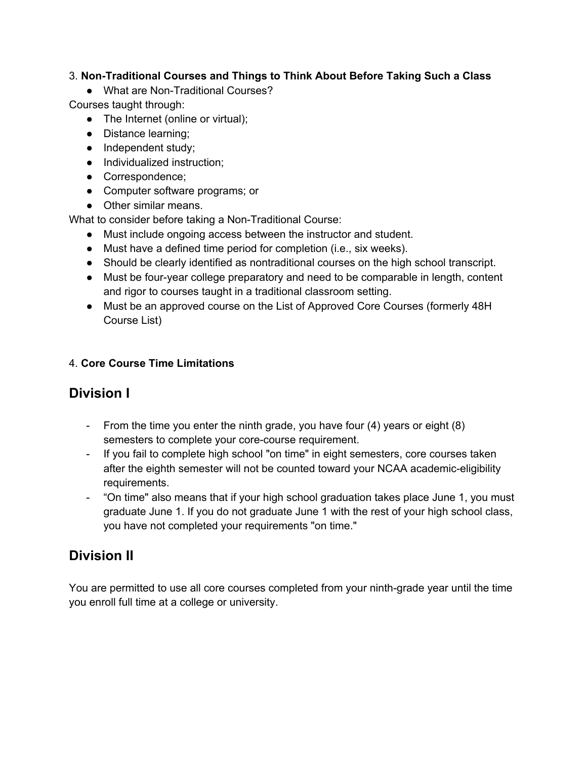## 3. **NonTraditional Courses and Things to Think About Before Taking Such a Class**

• What are Non-Traditional Courses?

Courses taught through:

- The Internet (online or virtual);
- Distance learning;
- Independent study;
- Individualized instruction;
- Correspondence;
- Computer software programs; or
- Other similar means.

What to consider before taking a Non-Traditional Course:

- Must include ongoing access between the instructor and student.
- Must have a defined time period for completion (i.e., six weeks).
- Should be clearly identified as nontraditional courses on the high school transcript.
- Must be four-year college preparatory and need to be comparable in length, content and rigor to courses taught in a traditional classroom setting.
- Must be an approved course on the List of Approved Core Courses (formerly 48H Course List)

# 4. **Core Course Time Limitations**

# **Division I**

- From the time you enter the ninth grade, you have four (4) years or eight (8) semesters to complete your core-course requirement.
- If you fail to complete high school "on time" in eight semesters, core courses taken after the eighth semester will not be counted toward your NCAA academic-eligibility requirements.
- "On time" also means that if your high school graduation takes place June 1, you must graduate June 1. If you do not graduate June 1 with the rest of your high school class, you have not completed your requirements "on time."

# **Division II**

You are permitted to use all core courses completed from your ninth-grade year until the time you enroll full time at a college or university.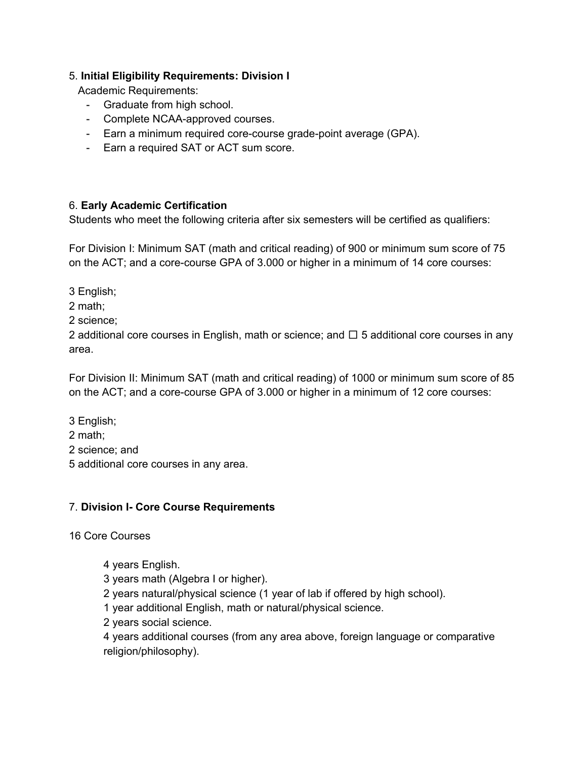#### 5. **Initial Eligibility Requirements: Division I**

Academic Requirements:

- Graduate from high school.
- Complete NCAA-approved courses.
- Earn a minimum required core-course grade-point average (GPA).
- Earn a required SAT or ACT sum score.

#### 6. **Early Academic Certification**

Students who meet the following criteria after six semesters will be certified as qualifiers:

For Division I: Minimum SAT (math and critical reading) of 900 or minimum sum score of 75 on the ACT; and a core-course GPA of 3.000 or higher in a minimum of 14 core courses:

3 English;

2 math;

2 science;

2 additional core courses in English, math or science; and  $\Box$  5 additional core courses in any area.

For Division II: Minimum SAT (math and critical reading) of 1000 or minimum sum score of 85 on the ACT; and a core-course GPA of 3.000 or higher in a minimum of 12 core courses:

3 English;

2 math;

2 science; and

5 additional core courses in any area.

#### 7. **Division I Core Course Requirements**

16 Core Courses

4 years English.

3 years math (Algebra I or higher).

2 years natural/physical science (1 year of lab if offered by high school).

1 year additional English, math or natural/physical science.

2 years social science.

4 years additional courses (from any area above, foreign language or comparative religion/philosophy).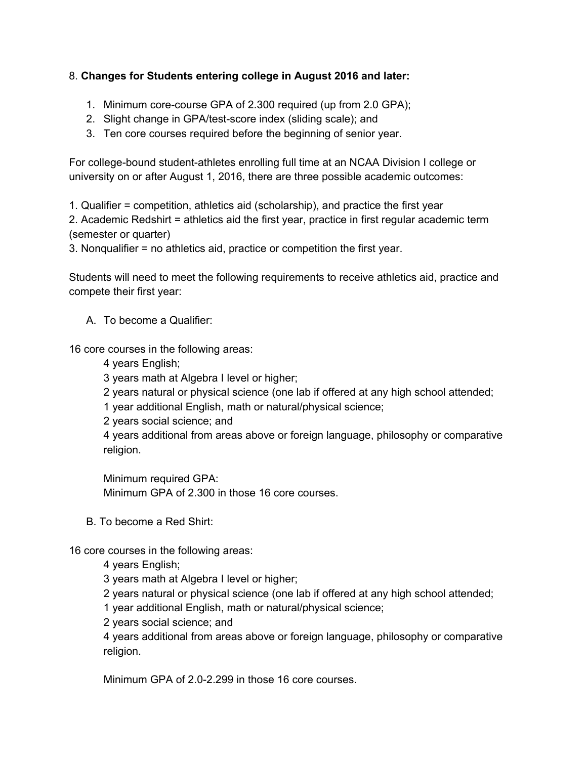## 8. **Changes for Students entering college in August 2016 and later:**

- 1. Minimum core-course GPA of 2.300 required (up from 2.0 GPA);
- 2. Slight change in GPA/test-score index (sliding scale); and
- 3. Ten core courses required before the beginning of senior year.

For college-bound student-athletes enrolling full time at an NCAA Division I college or university on or after August 1, 2016, there are three possible academic outcomes:

1. Qualifier = competition, athletics aid (scholarship), and practice the first year

2. Academic Redshirt = athletics aid the first year, practice in first regular academic term (semester or quarter)

3. Nonqualifier = no athletics aid, practice or competition the first year.

Students will need to meet the following requirements to receive athletics aid, practice and compete their first year:

A. To become a Qualifier:

16 core courses in the following areas:

4 years English;

3 years math at Algebra I level or higher;

2 years natural or physical science (one lab if offered at any high school attended;

1 year additional English, math or natural/physical science;

2 years social science; and

4 years additional from areas above or foreign language, philosophy or comparative religion.

Minimum required GPA: Minimum GPA of 2.300 in those 16 core courses.

B. To become a Red Shirt:

16 core courses in the following areas:

4 years English;

3 years math at Algebra I level or higher;

2 years natural or physical science (one lab if offered at any high school attended;

1 year additional English, math or natural/physical science;

2 years social science; and

4 years additional from areas above or foreign language, philosophy or comparative religion.

Minimum GPA of 2.0-2.299 in those 16 core courses.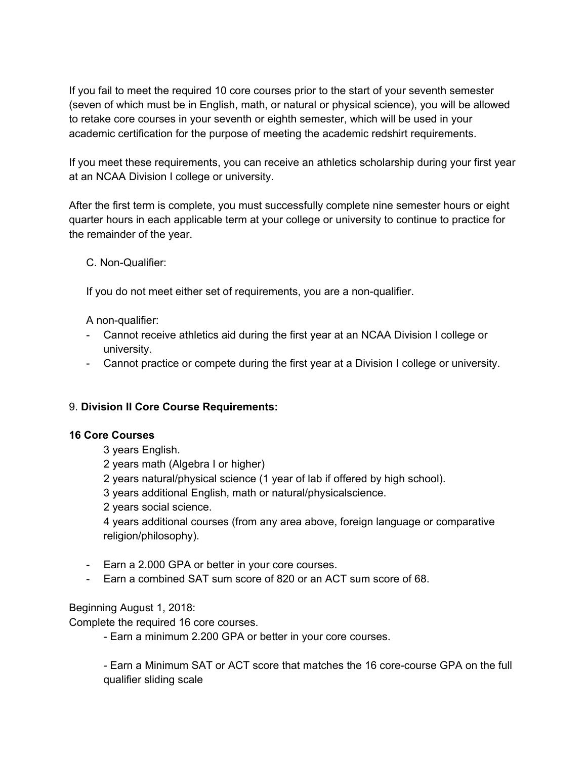If you fail to meet the required 10 core courses prior to the start of your seventh semester (seven of which must be in English, math, or natural or physical science), you will be allowed to retake core courses in your seventh or eighth semester, which will be used in your academic certification for the purpose of meeting the academic redshirt requirements.

If you meet these requirements, you can receive an athletics scholarship during your first year at an NCAA Division I college or university.

After the first term is complete, you must successfully complete nine semester hours or eight quarter hours in each applicable term at your college or university to continue to practice for the remainder of the year.

C. Non-Qualifier:

If you do not meet either set of requirements, you are a non-qualifier.

A non-qualifier:

- Cannot receive athletics aid during the first year at an NCAA Division I college or university.
- Cannot practice or compete during the first year at a Division I college or university.

#### 9. **Division II Core Course Requirements:**

#### **16 Core Courses**

- 3 years English.
- 2 years math (Algebra I or higher)
- 2 years natural/physical science (1 year of lab if offered by high school).
- 3 years additional English, math or natural/physicalscience.
- 2 years social science.

4 years additional courses (from any area above, foreign language or comparative religion/philosophy).

- Earn a 2.000 GPA or better in your core courses.
- Earn a combined SAT sum score of 820 or an ACT sum score of 68.

#### Beginning August 1, 2018:

Complete the required 16 core courses.

Earn a minimum 2.200 GPA or better in your core courses.

- Earn a Minimum SAT or ACT score that matches the 16 core-course GPA on the full qualifier sliding scale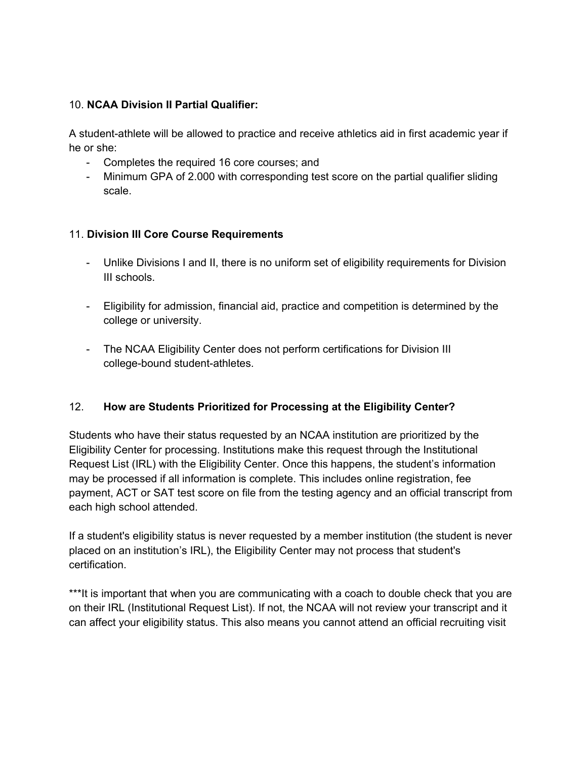#### 10. **NCAA Division II Partial Qualifier:**

A student-athlete will be allowed to practice and receive athletics aid in first academic year if he or she:

- Completes the required 16 core courses; and
- Minimum GPA of 2.000 with corresponding test score on the partial qualifier sliding scale.

#### 11. **Division III Core Course Requirements**

- Unlike Divisions I and II, there is no uniform set of eligibility requirements for Division III schools.
- Eligibility for admission, financial aid, practice and competition is determined by the college or university.
- The NCAA Eligibility Center does not perform certifications for Division III college-bound student-athletes.

#### 12. **How are Students Prioritized for Processing at the Eligibility Center?**

Students who have their status requested by an NCAA institution are prioritized by the Eligibility Center for processing. Institutions make this request through the Institutional Request List (IRL) with the Eligibility Center. Once this happens, the student's information may be processed if all information is complete. This includes online registration, fee payment, ACT or SAT test score on file from the testing agency and an official transcript from each high school attended.

If a student's eligibility status is never requested by a member institution (the student is never placed on an institution's IRL), the Eligibility Center may not process that student's certification.

\*\*\*It is important that when you are communicating with a coach to double check that you are on their IRL (Institutional Request List). If not, the NCAA will not review your transcript and it can affect your eligibility status. This also means you cannot attend an official recruiting visit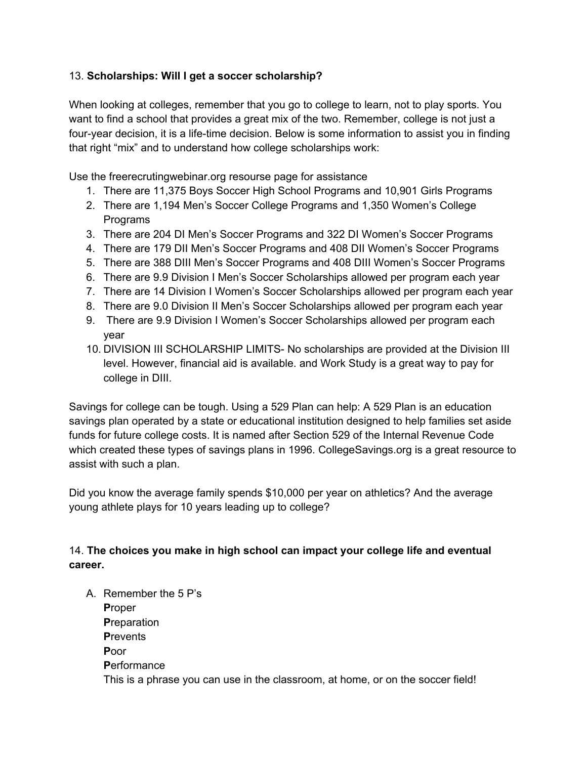## 13. **Scholarships: Will I get a soccer scholarship?**

When looking at colleges, remember that you go to college to learn, not to play sports. You want to find a school that provides a great mix of the two. Remember, college is not just a four-year decision, it is a life-time decision. Below is some information to assist you in finding that right "mix" and to understand how college scholarships work:

Use the freerecrutingwebinar.org resourse page for assistance

- 1. There are 11,375 Boys Soccer High School Programs and 10,901 Girls Programs
- 2. There are 1,194 Men's Soccer College Programs and 1,350 Women's College Programs
- 3. There are 204 DI Men's Soccer Programs and 322 DI Women's Soccer Programs
- 4. There are 179 DII Men's Soccer Programs and 408 DII Women's Soccer Programs
- 5. There are 388 DIII Men's Soccer Programs and 408 DIII Women's Soccer Programs
- 6. There are 9.9 Division I Men's Soccer Scholarships allowed per program each year
- 7. There are 14 Division I Women's Soccer Scholarships allowed per program each year
- 8. There are 9.0 Division II Men's Soccer Scholarships allowed per program each year
- 9. There are 9.9 Division I Women's Soccer Scholarships allowed per program each year
- 10. DIVISION III SCHOLARSHIP LIMITS- No scholarships are provided at the Division III level. However, financial aid is available. and Work Study is a great way to pay for college in DIII.

Savings for college can be tough. Using a 529 Plan can help: A 529 Plan is an education savings plan operated by a state or educational institution designed to help families set aside funds for future college costs. It is named after Section 529 of the Internal Revenue Code which created these types of savings plans in 1996. CollegeSavings.org is a great resource to assist with such a plan.

Did you know the average family spends \$10,000 per year on athletics? And the average young athlete plays for 10 years leading up to college?

14. **The choices you make in high school can impact your college life and eventual career.**

A. Remember the 5 P's **P**roper **P**reparation **P**revents **P**oor **P**erformance This is a phrase you can use in the classroom, at home, or on the soccer field!